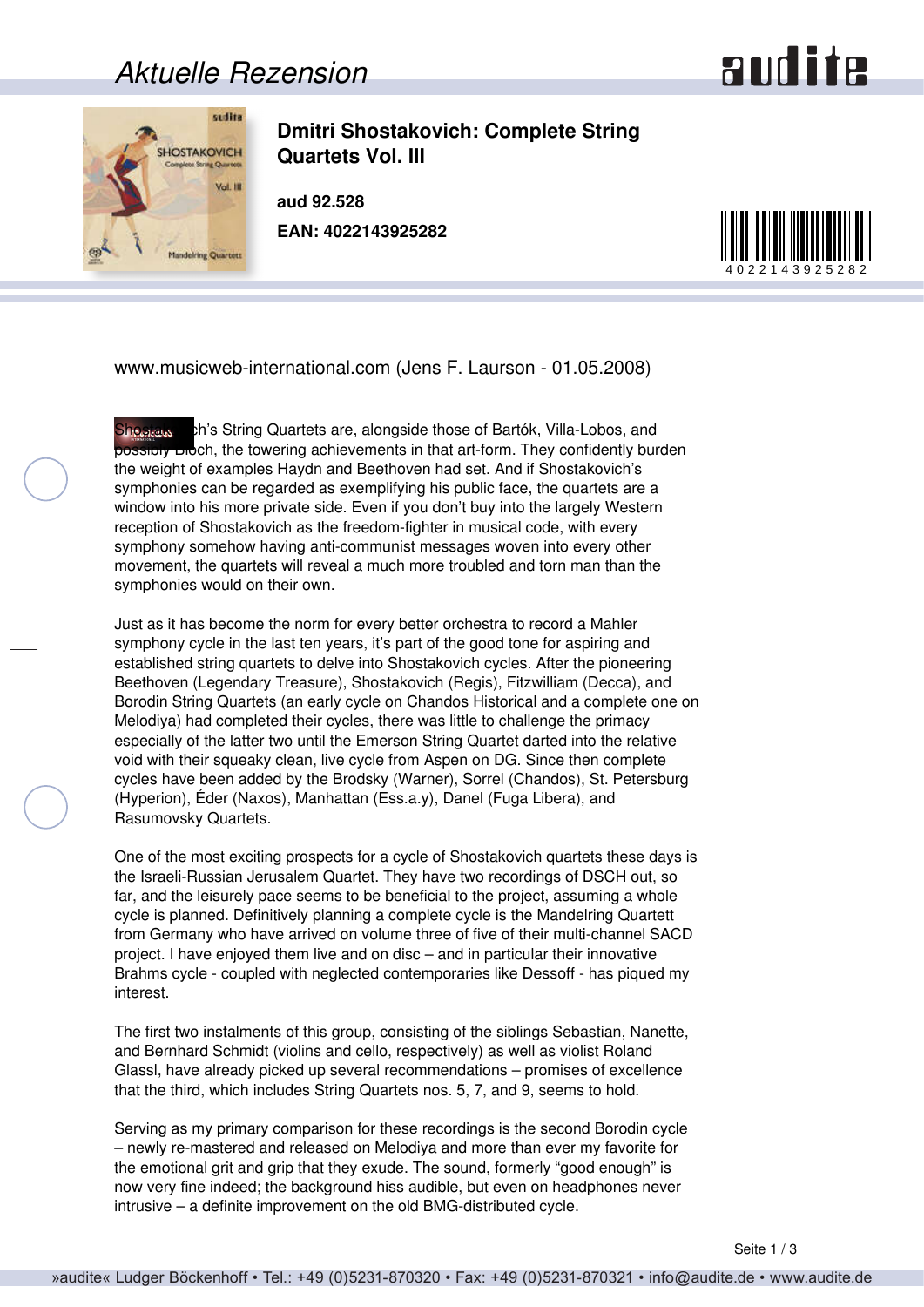## *Aktuelle Rezension*





**Dmitri Shostakovich: Complete String Quartets Vol. III**

**aud 92.528 EAN: 4022143925282**



www.musicweb-international.com (Jens F. Laurson - 01.05.2008)

Shostals ch's String Quartets are, alongside those of Bartók, Villa-Lobos, and possibly Bloch, the towering achievements in that art-form. They confidently burden the weight of examples Haydn and Beethoven had set. And if Shostakovich's symphonies can be regarded as exemplifying his public face, the quartets are a window into his more private side. Even if you don't buy into the largely Western reception of Shostakovich as the freedom-fighter in musical code, with every symphony somehow having anti-communist messages woven into every other movement, the quartets will reveal a much more troubled and torn man than the symphonies would on their own.

Just as it has become the norm for every better orchestra to record a Mahler symphony cycle in the last ten years, it's part of the good tone for aspiring and established string quartets to delve into Shostakovich cycles. After the pioneering Beethoven (Legendary Treasure), Shostakovich (Regis), Fitzwilliam (Decca), and Borodin String Quartets (an early cycle on Chandos Historical and a complete one on Melodiya) had completed their cycles, there was little to challenge the primacy especially of the latter two until the Emerson String Quartet darted into the relative void with their squeaky clean, live cycle from Aspen on DG. Since then complete cycles have been added by the Brodsky (Warner), Sorrel (Chandos), St. Petersburg (Hyperion), Éder (Naxos), Manhattan (Ess.a.y), Danel (Fuga Libera), and Rasumovsky Quartets.

One of the most exciting prospects for a cycle of Shostakovich quartets these days is the Israeli-Russian Jerusalem Quartet. They have two recordings of DSCH out, so far, and the leisurely pace seems to be beneficial to the project, assuming a whole cycle is planned. Definitively planning a complete cycle is the Mandelring Quartett from Germany who have arrived on volume three of five of their multi-channel SACD project. I have enjoyed them live and on disc – and in particular their innovative Brahms cycle - coupled with neglected contemporaries like Dessoff - has piqued my interest.

The first two instalments of this group, consisting of the siblings Sebastian, Nanette, and Bernhard Schmidt (violins and cello, respectively) as well as violist Roland Glassl, have already picked up several recommendations – promises of excellence that the third, which includes String Quartets nos. 5, 7, and 9, seems to hold.

Serving as my primary comparison for these recordings is the second Borodin cycle – newly re-mastered and released on Melodiya and more than ever my favorite for the emotional grit and grip that they exude. The sound, formerly "good enough" is now very fine indeed; the background hiss audible, but even on headphones never intrusive – a definite improvement on the old BMG-distributed cycle.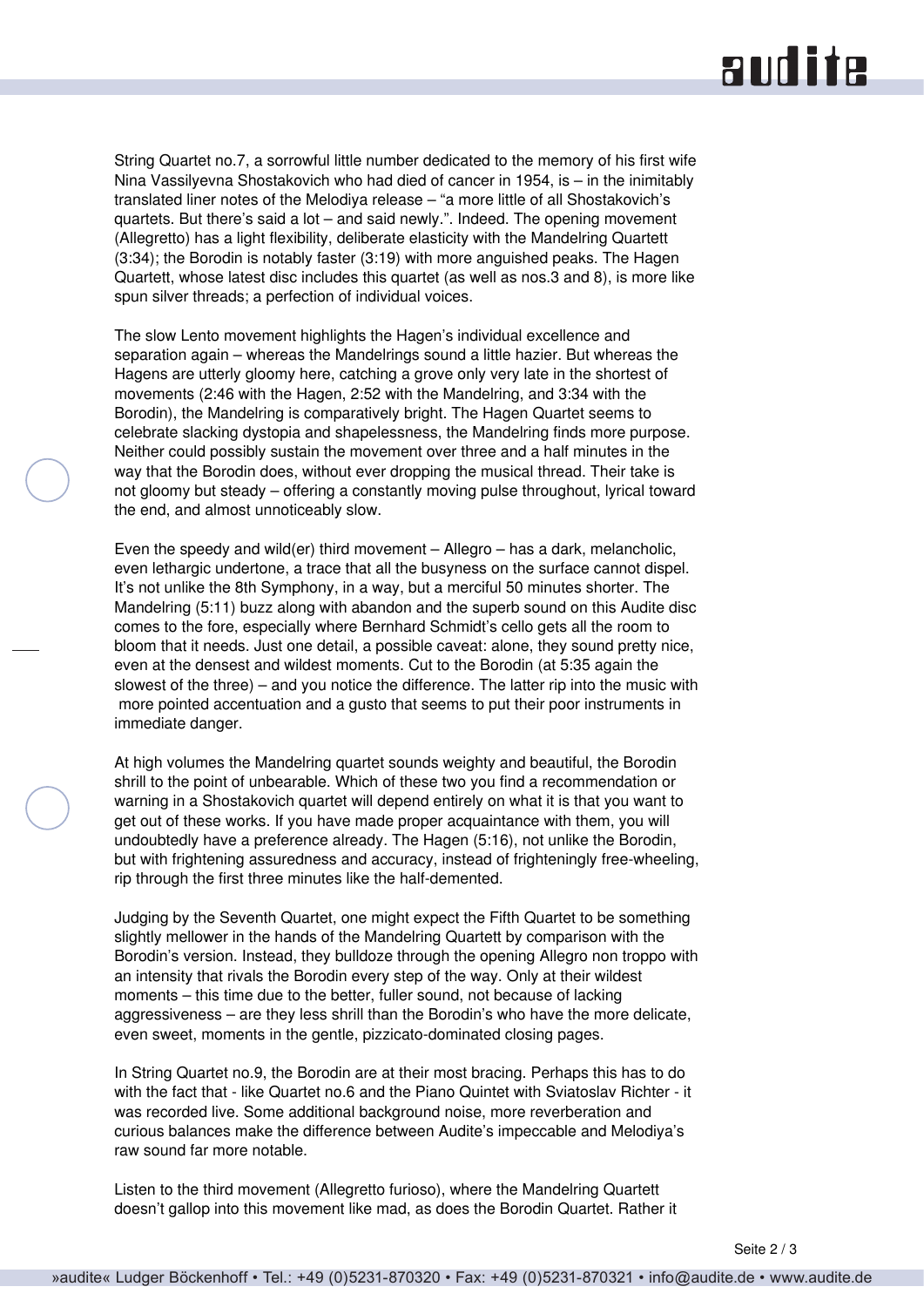## **audite**

String Quartet no.7, a sorrowful little number dedicated to the memory of his first wife Nina Vassilyevna Shostakovich who had died of cancer in 1954, is – in the inimitably translated liner notes of the Melodiya release – "a more little of all Shostakovich's quartets. But there's said a lot – and said newly.". Indeed. The opening movement (Allegretto) has a light flexibility, deliberate elasticity with the Mandelring Quartett (3:34); the Borodin is notably faster (3:19) with more anguished peaks. The Hagen Quartett, whose latest disc includes this quartet (as well as nos.3 and 8), is more like spun silver threads; a perfection of individual voices.

The slow Lento movement highlights the Hagen's individual excellence and separation again – whereas the Mandelrings sound a little hazier. But whereas the Hagens are utterly gloomy here, catching a grove only very late in the shortest of movements (2:46 with the Hagen, 2:52 with the Mandelring, and 3:34 with the Borodin), the Mandelring is comparatively bright. The Hagen Quartet seems to celebrate slacking dystopia and shapelessness, the Mandelring finds more purpose. Neither could possibly sustain the movement over three and a half minutes in the way that the Borodin does, without ever dropping the musical thread. Their take is not gloomy but steady – offering a constantly moving pulse throughout, lyrical toward the end, and almost unnoticeably slow.

Even the speedy and wild(er) third movement – Allegro – has a dark, melancholic, even lethargic undertone, a trace that all the busyness on the surface cannot dispel. It's not unlike the 8th Symphony, in a way, but a merciful 50 minutes shorter. The Mandelring (5:11) buzz along with abandon and the superb sound on this Audite disc comes to the fore, especially where Bernhard Schmidt's cello gets all the room to bloom that it needs. Just one detail, a possible caveat: alone, they sound pretty nice, even at the densest and wildest moments. Cut to the Borodin (at 5:35 again the slowest of the three) – and you notice the difference. The latter rip into the music with more pointed accentuation and a gusto that seems to put their poor instruments in immediate danger.

At high volumes the Mandelring quartet sounds weighty and beautiful, the Borodin shrill to the point of unbearable. Which of these two you find a recommendation or warning in a Shostakovich quartet will depend entirely on what it is that you want to get out of these works. If you have made proper acquaintance with them, you will undoubtedly have a preference already. The Hagen (5:16), not unlike the Borodin, but with frightening assuredness and accuracy, instead of frighteningly free-wheeling, rip through the first three minutes like the half-demented.

Judging by the Seventh Quartet, one might expect the Fifth Quartet to be something slightly mellower in the hands of the Mandelring Quartett by comparison with the Borodin's version. Instead, they bulldoze through the opening Allegro non troppo with an intensity that rivals the Borodin every step of the way. Only at their wildest moments – this time due to the better, fuller sound, not because of lacking aggressiveness – are they less shrill than the Borodin's who have the more delicate, even sweet, moments in the gentle, pizzicato-dominated closing pages.

In String Quartet no.9, the Borodin are at their most bracing. Perhaps this has to do with the fact that - like Quartet no.6 and the Piano Quintet with Sviatoslav Richter - it was recorded live. Some additional background noise, more reverberation and curious balances make the difference between Audite's impeccable and Melodiya's raw sound far more notable.

Listen to the third movement (Allegretto furioso), where the Mandelring Quartett doesn't gallop into this movement like mad, as does the Borodin Quartet. Rather it